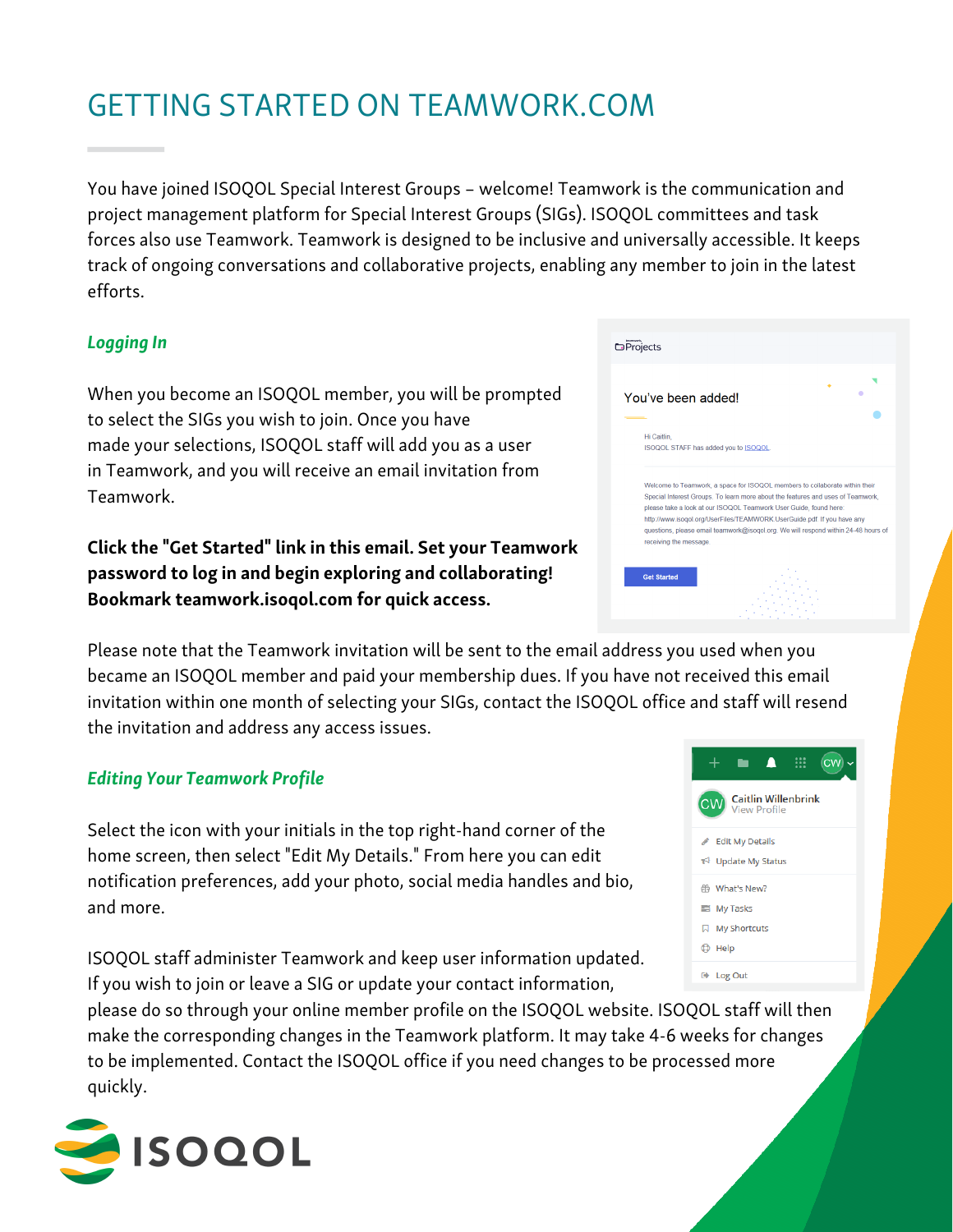# GETTING STARTED ON TEAMWORK.COM

You have joined ISOQOL Special Interest Groups – welcome! Teamwork is the communication and project management platform for Special Interest Groups (SIGs). ISOQOL committees and task forces also use Teamwork. Teamwork is designed to be inclusive and universally accessible. It keeps track of ongoing conversations and collaborative projects, enabling any member to join in the latest efforts.

### Logging In

When you become an ISOQOL member, you will be prompted to select the SIGs you wish to join. Once you have made your selections, ISOQOL staff will add you as a user in Teamwork, and you will receive an email invitation from Teamwork.

Click the "Get Started" link in this email. Set your Teamwork password to log in and begin exploring and collaborating! Bookmark teamwork.isoqol.com for quick access.

Please note that the Teamwork invitation will be sent to the email address you used when you became an ISOQOL member and paid your membership dues. If you have not received this email invitation within one month of selecting your SIGs, contact the ISOQOL office and staff will resend the invitation and address any access issues.

#### Editing Your Teamwork Profile

Select the icon with your initials in the top right-hand corner of the home screen, then select "Edit My Details." From here you can edit notification preferences, add your photo, social media handles and bio, and more.

ISOQOL staff administer Teamwork and keep user information updated. If you wish to join or leave a SIG or update your contact information,

please do so through your online member profile on the ISOQOL website. ISOQOL staff will then make the corresponding changes in the Teamwork platform. It may take 4-6 weeks for changes to be implemented. Contact the ISOQOL office if you need changes to be processed more quickly.



| <b>O</b> Projects                                                                                                                                                                                                                                                                                                                                                                                                              |
|--------------------------------------------------------------------------------------------------------------------------------------------------------------------------------------------------------------------------------------------------------------------------------------------------------------------------------------------------------------------------------------------------------------------------------|
| You've been added!                                                                                                                                                                                                                                                                                                                                                                                                             |
| Hi Caitlin.<br>ISOQOL STAFF has added you to ISOQOL.                                                                                                                                                                                                                                                                                                                                                                           |
| Welcome to Teamwork, a space for ISOQOL members to collaborate within their<br>Special Interest Groups. To learn more about the features and uses of Teamwork.<br>please take a look at our ISOQOL Teamwork User Guide, found here:<br>http://www.isogol.org/UserFiles/TEAMWORK.UserGuide.pdf. If you have any<br>questions, please email teamwork@isogol.org. We will respond within 24-48 hours of<br>receiving the message. |
| <b>Get Started</b>                                                                                                                                                                                                                                                                                                                                                                                                             |